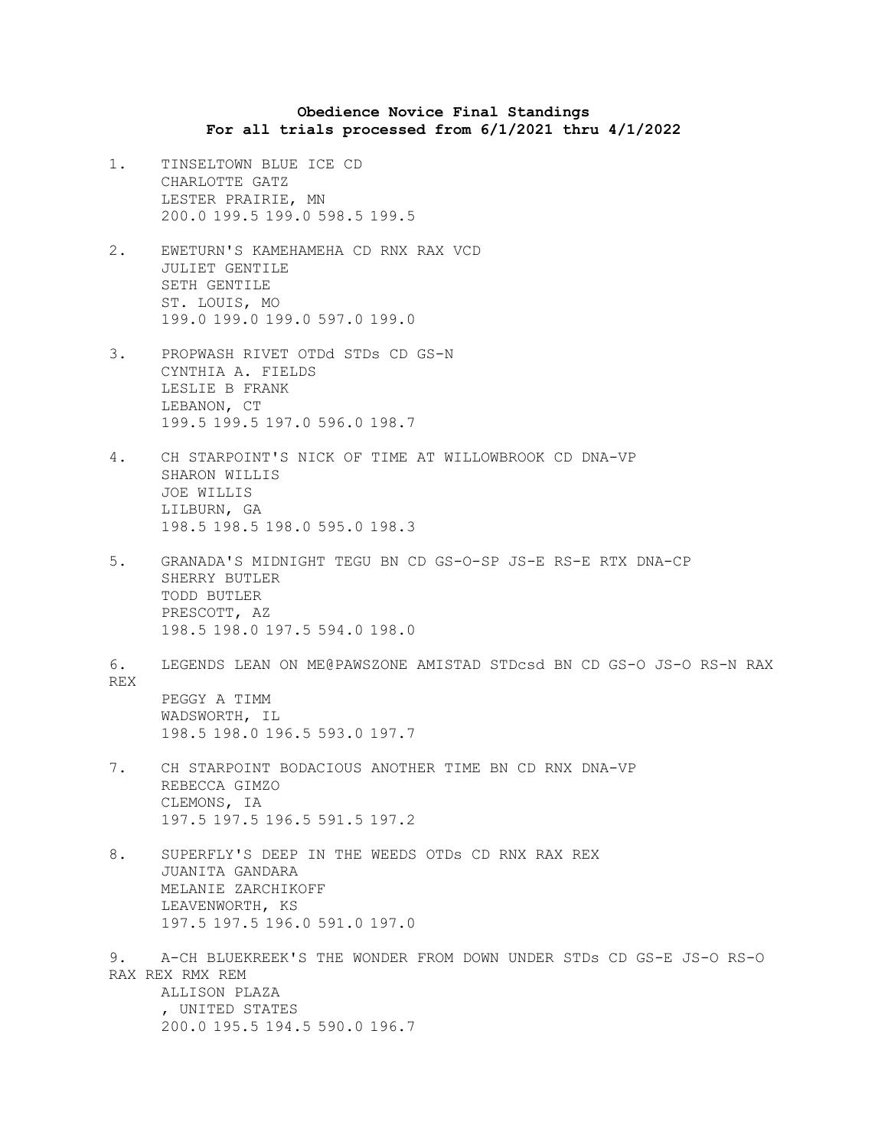## **Obedience Novice Final Standings For all trials processed from 6/1/2021 thru 4/1/2022**

- 1. TINSELTOWN BLUE ICE CD CHARLOTTE GATZ LESTER PRAIRIE, MN 200.0 199.5 199.0 598.5 199.5
- 2. EWETURN'S KAMEHAMEHA CD RNX RAX VCD JULIET GENTILE SETH GENTILE ST. LOUIS, MO 199.0 199.0 199.0 597.0 199.0
- 3. PROPWASH RIVET OTDd STDs CD GS-N CYNTHIA A. FIELDS LESLIE B FRANK LEBANON, CT 199.5 199.5 197.0 596.0 198.7
- 4. CH STARPOINT'S NICK OF TIME AT WILLOWBROOK CD DNA-VP SHARON WILLIS JOE WILLIS LILBURN, GA 198.5 198.5 198.0 595.0 198.3
- 5. GRANADA'S MIDNIGHT TEGU BN CD GS-O-SP JS-E RS-E RTX DNA-CP SHERRY BUTLER TODD BUTLER PRESCOTT, AZ 198.5 198.0 197.5 594.0 198.0
- 6. LEGENDS LEAN ON ME@PAWSZONE AMISTAD STDcsd BN CD GS-O JS-O RS-N RAX REX PEGGY A TIMM WADSWORTH, IL 198.5 198.0 196.5 593.0 197.7
- 7. CH STARPOINT BODACIOUS ANOTHER TIME BN CD RNX DNA-VP REBECCA GIMZO CLEMONS, IA 197.5 197.5 196.5 591.5 197.2
- 8. SUPERFLY'S DEEP IN THE WEEDS OTDs CD RNX RAX REX JUANITA GANDARA MELANIE ZARCHIKOFF LEAVENWORTH, KS 197.5 197.5 196.0 591.0 197.0
- 9. A-CH BLUEKREEK'S THE WONDER FROM DOWN UNDER STDs CD GS-E JS-O RS-O RAX REX RMX REM ALLISON PLAZA , UNITED STATES 200.0 195.5 194.5 590.0 196.7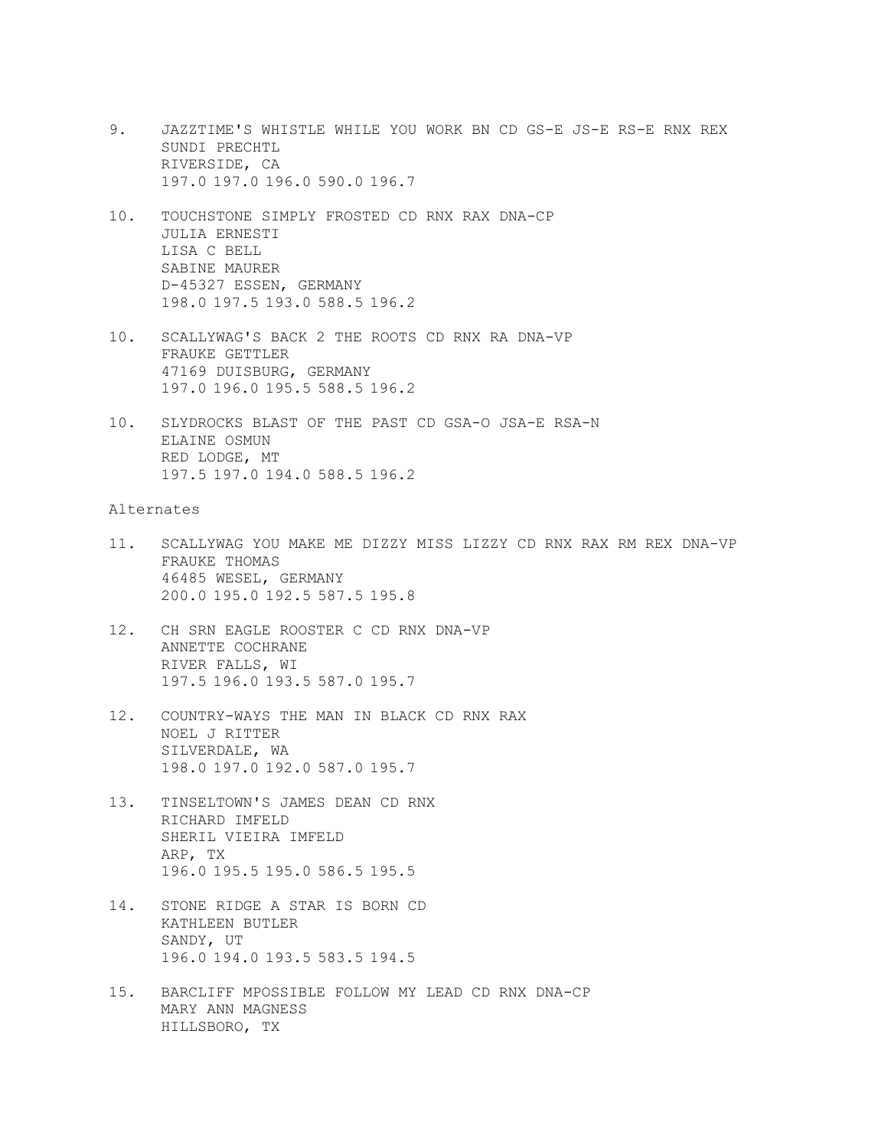- 9. JAZZTIME'S WHISTLE WHILE YOU WORK BN CD GS-E JS-E RS-E RNX REX SUNDI PRECHTL RIVERSIDE, CA 197.0 197.0 196.0 590.0 196.7
- 10. TOUCHSTONE SIMPLY FROSTED CD RNX RAX DNA-CP JULIA ERNESTI LISA C BELL SABINE MAURER D-45327 ESSEN, GERMANY 198.0 197.5 193.0 588.5 196.2
- 10. SCALLYWAG'S BACK 2 THE ROOTS CD RNX RA DNA-VP FRAUKE GETTLER 47169 DUISBURG, GERMANY 197.0 196.0 195.5 588.5 196.2
- 10. SLYDROCKS BLAST OF THE PAST CD GSA-O JSA-E RSA-N ELAINE OSMUN RED LODGE, MT 197.5 197.0 194.0 588.5 196.2

## Alternates

- 11. SCALLYWAG YOU MAKE ME DIZZY MISS LIZZY CD RNX RAX RM REX DNA-VP FRAUKE THOMAS 46485 WESEL, GERMANY 200.0 195.0 192.5 587.5 195.8
- 12. CH SRN EAGLE ROOSTER C CD RNX DNA-VP ANNETTE COCHRANE RIVER FALLS, WI 197.5 196.0 193.5 587.0 195.7
- 12. COUNTRY-WAYS THE MAN IN BLACK CD RNX RAX NOEL J RITTER SILVERDALE, WA 198.0 197.0 192.0 587.0 195.7
- 13. TINSELTOWN'S JAMES DEAN CD RNX RICHARD IMFELD SHERIL VIEIRA IMFELD ARP, TX 196.0 195.5 195.0 586.5 195.5
- 14. STONE RIDGE A STAR IS BORN CD KATHLEEN BUTLER SANDY, UT 196.0 194.0 193.5 583.5 194.5
- 15. BARCLIFF MPOSSIBLE FOLLOW MY LEAD CD RNX DNA-CP MARY ANN MAGNESS HILLSBORO, TX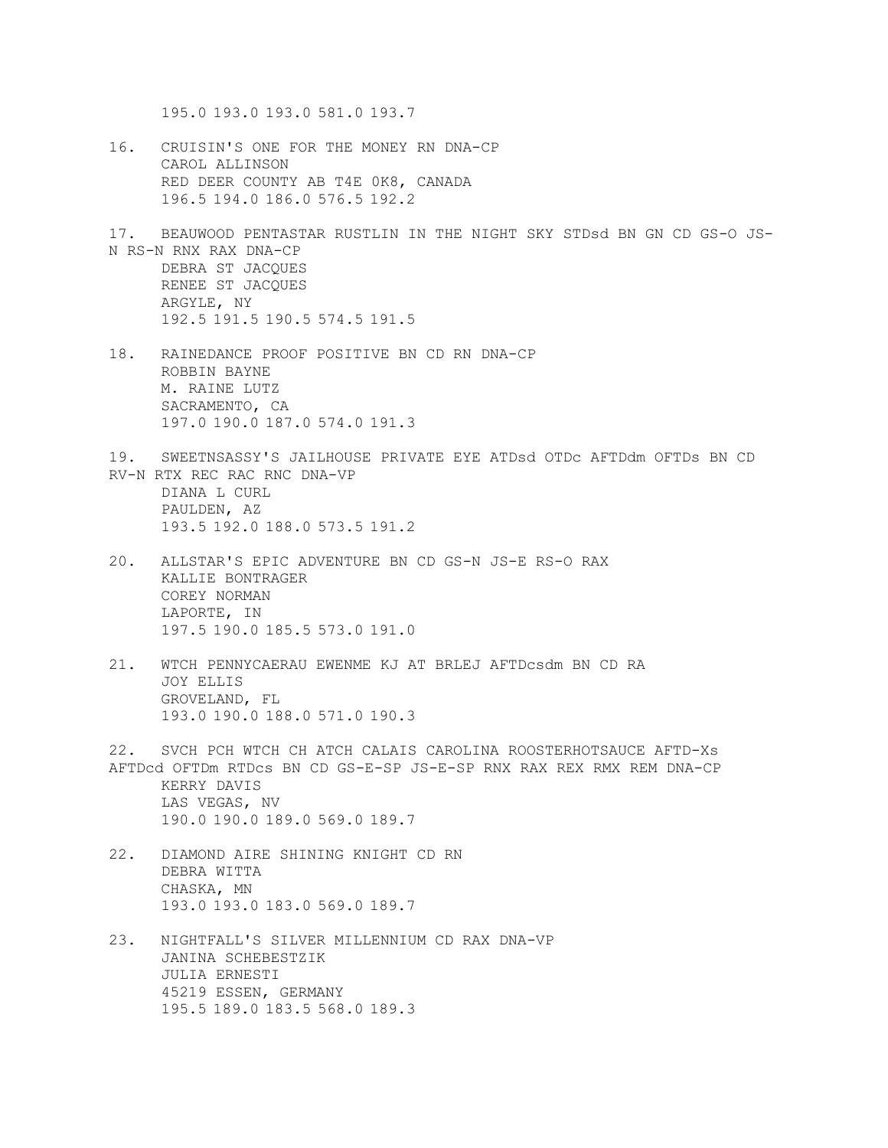195.0 193.0 193.0 581.0 193.7

- 16. CRUISIN'S ONE FOR THE MONEY RN DNA-CP CAROL ALLINSON RED DEER COUNTY AB T4E 0K8, CANADA 196.5 194.0 186.0 576.5 192.2
- 17. BEAUWOOD PENTASTAR RUSTLIN IN THE NIGHT SKY STDsd BN GN CD GS-O JS-N RS-N RNX RAX DNA-CP DEBRA ST JACQUES RENEE ST JACQUES ARGYLE, NY 192.5 191.5 190.5 574.5 191.5
- 18. RAINEDANCE PROOF POSITIVE BN CD RN DNA-CP ROBBIN BAYNE M. RAINE LUTZ SACRAMENTO, CA 197.0 190.0 187.0 574.0 191.3
- 19. SWEETNSASSY'S JAILHOUSE PRIVATE EYE ATDsd OTDc AFTDdm OFTDs BN CD RV-N RTX REC RAC RNC DNA-VP DIANA L CURL PAULDEN, AZ 193.5 192.0 188.0 573.5 191.2
- 20. ALLSTAR'S EPIC ADVENTURE BN CD GS-N JS-E RS-O RAX KALLIE BONTRAGER COREY NORMAN LAPORTE, IN 197.5 190.0 185.5 573.0 191.0
- 21. WTCH PENNYCAERAU EWENME KJ AT BRLEJ AFTDcsdm BN CD RA JOY ELLIS GROVELAND, FL 193.0 190.0 188.0 571.0 190.3

22. SVCH PCH WTCH CH ATCH CALAIS CAROLINA ROOSTERHOTSAUCE AFTD-Xs AFTDcd OFTDm RTDcs BN CD GS-E-SP JS-E-SP RNX RAX REX RMX REM DNA-CP KERRY DAVIS LAS VEGAS, NV 190.0 190.0 189.0 569.0 189.7

- 22. DIAMOND AIRE SHINING KNIGHT CD RN DEBRA WITTA CHASKA, MN 193.0 193.0 183.0 569.0 189.7
- 23. NIGHTFALL'S SILVER MILLENNIUM CD RAX DNA-VP JANINA SCHEBESTZIK JULIA ERNESTI 45219 ESSEN, GERMANY 195.5 189.0 183.5 568.0 189.3